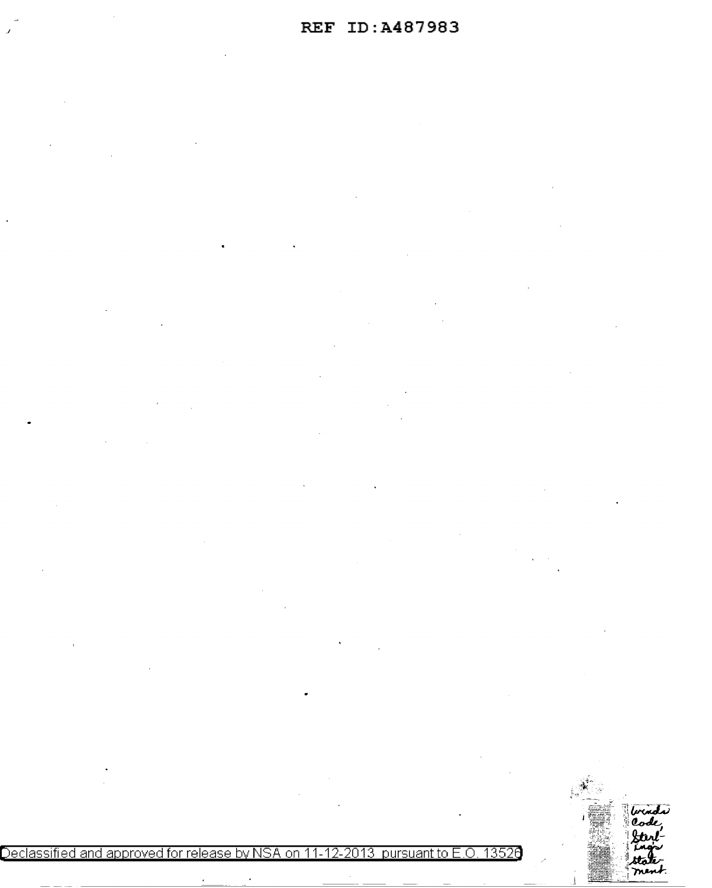$\frac{1}{2}$  . The set <u>.</u><br>ม di Declassified and approved for release by NSA on 11-12-2013 pursuant to E .0. 1352a ment.  $\ddot{\phantom{a}}$